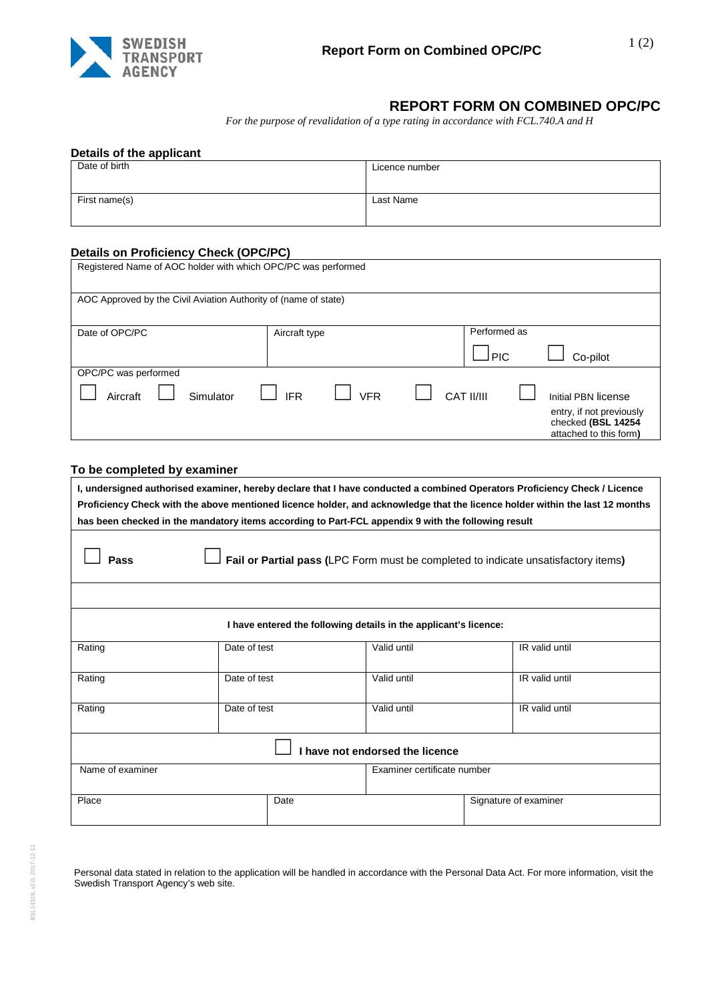

## **REPORT FORM ON COMBINED OPC/PC**

*For the purpose of revalidation of a type rating in accordance with FCL.740.A and H*

| Date of birth | Licence number |
|---------------|----------------|
| First name(s) | Last Name      |

## **Details on Proficiency Check (OPC/PC)**

| Date of OPC/PC        | Aircraft type            | Performed as                      |  |  |
|-----------------------|--------------------------|-----------------------------------|--|--|
|                       |                          | l PIC<br>Co-pilot                 |  |  |
| OPC/PC was performed  |                          |                                   |  |  |
| Aircraft<br>Simulator | <b>VFR</b><br><b>IFR</b> | CAT II/III<br>Initial PBN license |  |  |

## **To be completed by examiner**

| I, undersigned authorised examiner, hereby declare that I have conducted a combined Operators Proficiency Check / Licence<br>Proficiency Check with the above mentioned licence holder, and acknowledge that the licence holder within the last 12 months<br>has been checked in the mandatory items according to Part-FCL appendix 9 with the following result |              |  |                       |                             |  |  |  |
|-----------------------------------------------------------------------------------------------------------------------------------------------------------------------------------------------------------------------------------------------------------------------------------------------------------------------------------------------------------------|--------------|--|-----------------------|-----------------------------|--|--|--|
| Fail or Partial pass (LPC Form must be completed to indicate unsatisfactory items)<br>Pass                                                                                                                                                                                                                                                                      |              |  |                       |                             |  |  |  |
|                                                                                                                                                                                                                                                                                                                                                                 |              |  |                       |                             |  |  |  |
| I have entered the following details in the applicant's licence:                                                                                                                                                                                                                                                                                                |              |  |                       |                             |  |  |  |
| Rating                                                                                                                                                                                                                                                                                                                                                          | Date of test |  | Valid until           | IR valid until              |  |  |  |
| Rating                                                                                                                                                                                                                                                                                                                                                          | Date of test |  | Valid until           | IR valid until              |  |  |  |
| Rating                                                                                                                                                                                                                                                                                                                                                          | Date of test |  | Valid until           | IR valid until              |  |  |  |
| have not endorsed the licence                                                                                                                                                                                                                                                                                                                                   |              |  |                       |                             |  |  |  |
| Name of examiner                                                                                                                                                                                                                                                                                                                                                |              |  |                       | Examiner certificate number |  |  |  |
| Place<br>Date                                                                                                                                                                                                                                                                                                                                                   |              |  | Signature of examiner |                             |  |  |  |

Personal data stated in relation to the application will be handled in accordance with the Personal Data Act. For more information, visit the Swedish Transport Agency's web site.